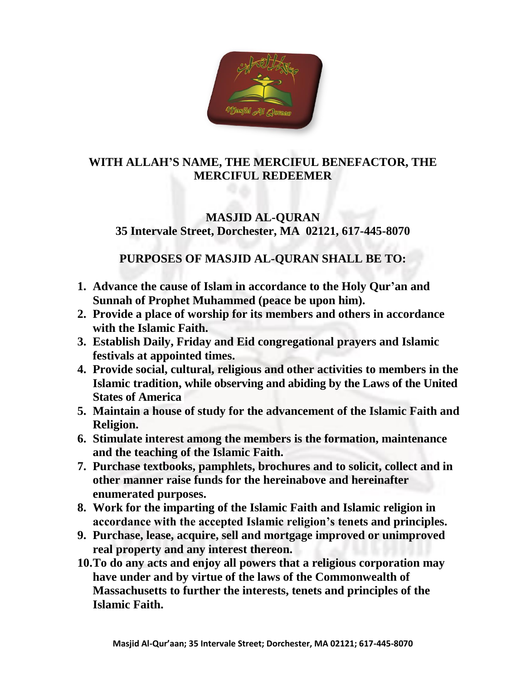

## **WITH ALLAH'S NAME, THE MERCIFUL BENEFACTOR, THE MERCIFUL REDEEMER**

# **MASJID AL-QURAN 35 Intervale Street, Dorchester, MA 02121, 617-445-8070**

# **PURPOSES OF MASJID AL-QURAN SHALL BE TO:**

- **1. Advance the cause of Islam in accordance to the Holy Qur'an and Sunnah of Prophet Muhammed (peace be upon him).**
- **2. Provide a place of worship for its members and others in accordance with the Islamic Faith.**
- **3. Establish Daily, Friday and Eid congregational prayers and Islamic festivals at appointed times.**
- **4. Provide social, cultural, religious and other activities to members in the Islamic tradition, while observing and abiding by the Laws of the United States of America**
- **5. Maintain a house of study for the advancement of the Islamic Faith and Religion.**
- **6. Stimulate interest among the members is the formation, maintenance and the teaching of the Islamic Faith.**
- **7. Purchase textbooks, pamphlets, brochures and to solicit, collect and in other manner raise funds for the hereinabove and hereinafter enumerated purposes.**
- **8. Work for the imparting of the Islamic Faith and Islamic religion in accordance with the accepted Islamic religion's tenets and principles.**
- **9. Purchase, lease, acquire, sell and mortgage improved or unimproved real property and any interest thereon.**
- **10.To do any acts and enjoy all powers that a religious corporation may have under and by virtue of the laws of the Commonwealth of Massachusetts to further the interests, tenets and principles of the Islamic Faith.**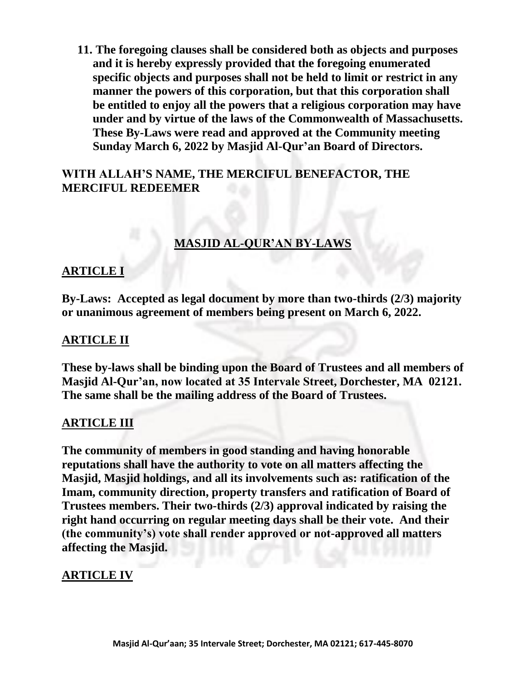**11. The foregoing clauses shall be considered both as objects and purposes and it is hereby expressly provided that the foregoing enumerated specific objects and purposes shall not be held to limit or restrict in any manner the powers of this corporation, but that this corporation shall be entitled to enjoy all the powers that a religious corporation may have under and by virtue of the laws of the Commonwealth of Massachusetts. These By-Laws were read and approved at the Community meeting Sunday March 6, 2022 by Masjid Al-Qur'an Board of Directors.**

## **WITH ALLAH'S NAME, THE MERCIFUL BENEFACTOR, THE MERCIFUL REDEEMER**

### **MASJID AL-QUR'AN BY-LAWS**

### **ARTICLE I**

**By-Laws: Accepted as legal document by more than two-thirds (2/3) majority or unanimous agreement of members being present on March 6, 2022.**

#### **ARTICLE II**

**These by-laws shall be binding upon the Board of Trustees and all members of Masjid Al-Qur'an, now located at 35 Intervale Street, Dorchester, MA 02121. The same shall be the mailing address of the Board of Trustees.**

#### **ARTICLE III**

**The community of members in good standing and having honorable reputations shall have the authority to vote on all matters affecting the Masjid, Masjid holdings, and all its involvements such as: ratification of the Imam, community direction, property transfers and ratification of Board of Trustees members. Their two-thirds (2/3) approval indicated by raising the right hand occurring on regular meeting days shall be their vote. And their (the community's) vote shall render approved or not-approved all matters affecting the Masjid.**

#### **ARTICLE IV**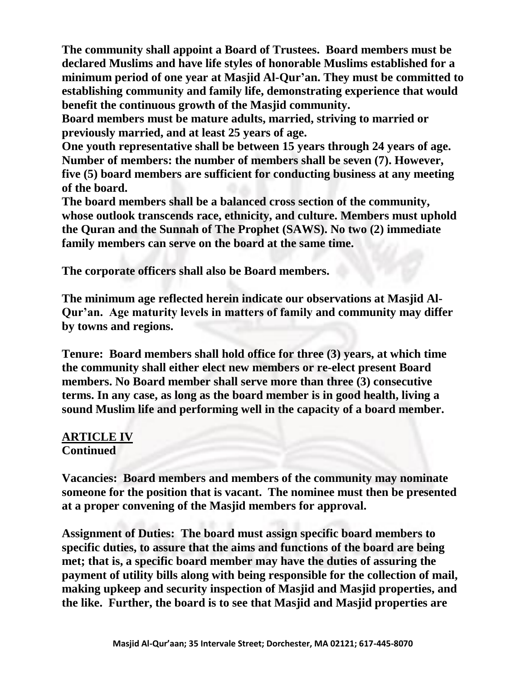**The community shall appoint a Board of Trustees. Board members must be declared Muslims and have life styles of honorable Muslims established for a minimum period of one year at Masjid Al-Qur'an. They must be committed to establishing community and family life, demonstrating experience that would benefit the continuous growth of the Masjid community.**

**Board members must be mature adults, married, striving to married or previously married, and at least 25 years of age.**

**One youth representative shall be between 15 years through 24 years of age. Number of members: the number of members shall be seven (7). However, five (5) board members are sufficient for conducting business at any meeting of the board.**

**The board members shall be a balanced cross section of the community, whose outlook transcends race, ethnicity, and culture. Members must uphold the Quran and the Sunnah of The Prophet (SAWS). No two (2) immediate family members can serve on the board at the same time.**

**The corporate officers shall also be Board members.** 

**The minimum age reflected herein indicate our observations at Masjid Al-Qur'an. Age maturity levels in matters of family and community may differ by towns and regions.**

**Tenure: Board members shall hold office for three (3) years, at which time the community shall either elect new members or re-elect present Board members. No Board member shall serve more than three (3) consecutive terms. In any case, as long as the board member is in good health, living a sound Muslim life and performing well in the capacity of a board member.**

### **ARTICLE IV Continued**

**Vacancies: Board members and members of the community may nominate someone for the position that is vacant. The nominee must then be presented at a proper convening of the Masjid members for approval.**

**Assignment of Duties: The board must assign specific board members to specific duties, to assure that the aims and functions of the board are being met; that is, a specific board member may have the duties of assuring the payment of utility bills along with being responsible for the collection of mail, making upkeep and security inspection of Masjid and Masjid properties, and the like. Further, the board is to see that Masjid and Masjid properties are**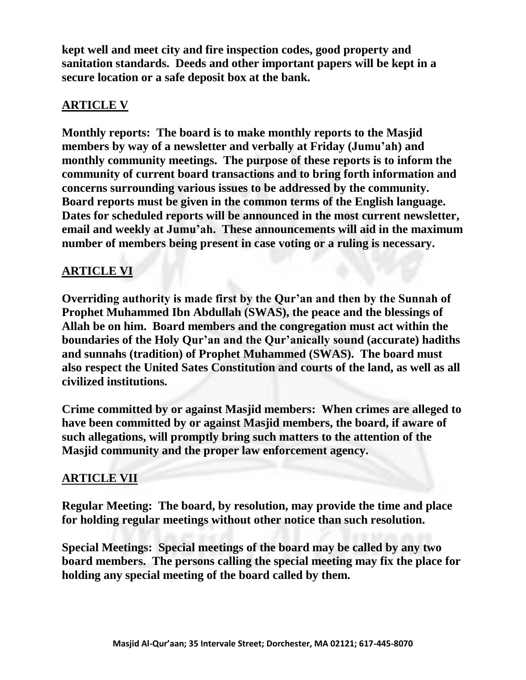**kept well and meet city and fire inspection codes, good property and sanitation standards. Deeds and other important papers will be kept in a secure location or a safe deposit box at the bank.**

## **ARTICLE V**

**Monthly reports: The board is to make monthly reports to the Masjid members by way of a newsletter and verbally at Friday (Jumu'ah) and monthly community meetings. The purpose of these reports is to inform the community of current board transactions and to bring forth information and concerns surrounding various issues to be addressed by the community. Board reports must be given in the common terms of the English language. Dates for scheduled reports will be announced in the most current newsletter, email and weekly at Jumu'ah. These announcements will aid in the maximum number of members being present in case voting or a ruling is necessary.**

# **ARTICLE VI**

**Overriding authority is made first by the Qur'an and then by the Sunnah of Prophet Muhammed Ibn Abdullah (SWAS), the peace and the blessings of Allah be on him. Board members and the congregation must act within the boundaries of the Holy Qur'an and the Qur'anically sound (accurate) hadiths and sunnahs (tradition) of Prophet Muhammed (SWAS). The board must also respect the United Sates Constitution and courts of the land, as well as all civilized institutions.**

**Crime committed by or against Masjid members: When crimes are alleged to have been committed by or against Masjid members, the board, if aware of such allegations, will promptly bring such matters to the attention of the Masjid community and the proper law enforcement agency.**

# **ARTICLE VII**

**Regular Meeting: The board, by resolution, may provide the time and place for holding regular meetings without other notice than such resolution.**

**Special Meetings: Special meetings of the board may be called by any two board members. The persons calling the special meeting may fix the place for holding any special meeting of the board called by them.**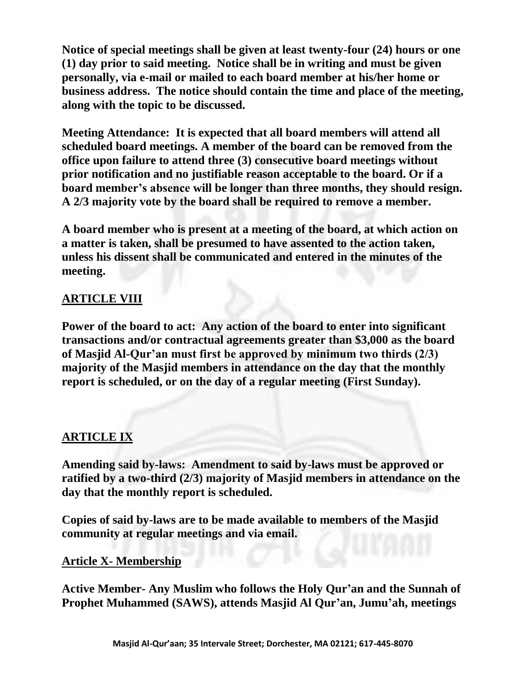**Notice of special meetings shall be given at least twenty-four (24) hours or one (1) day prior to said meeting. Notice shall be in writing and must be given personally, via e-mail or mailed to each board member at his/her home or business address. The notice should contain the time and place of the meeting, along with the topic to be discussed.**

**Meeting Attendance: It is expected that all board members will attend all scheduled board meetings. A member of the board can be removed from the office upon failure to attend three (3) consecutive board meetings without prior notification and no justifiable reason acceptable to the board. Or if a board member's absence will be longer than three months, they should resign. A 2/3 majority vote by the board shall be required to remove a member.**

**A board member who is present at a meeting of the board, at which action on a matter is taken, shall be presumed to have assented to the action taken, unless his dissent shall be communicated and entered in the minutes of the meeting.**

## **ARTICLE VIII**

**Power of the board to act: Any action of the board to enter into significant transactions and/or contractual agreements greater than \$3,000 as the board of Masjid Al-Qur'an must first be approved by minimum two thirds (2/3) majority of the Masjid members in attendance on the day that the monthly report is scheduled, or on the day of a regular meeting (First Sunday).**

### **ARTICLE IX**

**Amending said by-laws: Amendment to said by-laws must be approved or ratified by a two-third (2/3) majority of Masjid members in attendance on the day that the monthly report is scheduled.**

**Copies of said by-laws are to be made available to members of the Masjid community at regular meetings and via email.**

#### **Article X- Membership**

**Active Member- Any Muslim who follows the Holy Qur'an and the Sunnah of Prophet Muhammed (SAWS), attends Masjid Al Qur'an, Jumu'ah, meetings**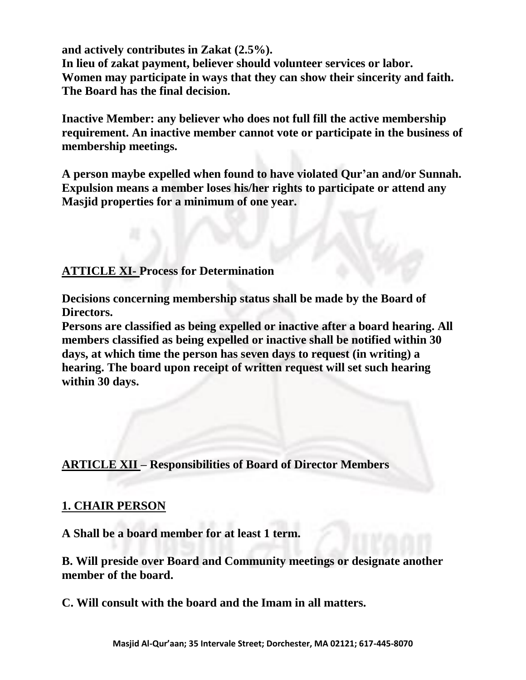**and actively contributes in Zakat (2.5%).** 

**In lieu of zakat payment, believer should volunteer services or labor. Women may participate in ways that they can show their sincerity and faith. The Board has the final decision.**

**Inactive Member: any believer who does not full fill the active membership requirement. An inactive member cannot vote or participate in the business of membership meetings.**

**A person maybe expelled when found to have violated Qur'an and/or Sunnah. Expulsion means a member loses his/her rights to participate or attend any Masjid properties for a minimum of one year.**

## **ATTICLE XI- Process for Determination**

**Decisions concerning membership status shall be made by the Board of Directors.**

**Persons are classified as being expelled or inactive after a board hearing. All members classified as being expelled or inactive shall be notified within 30 days, at which time the person has seven days to request (in writing) a hearing. The board upon receipt of written request will set such hearing within 30 days.**

**ARTICLE XII – Responsibilities of Board of Director Members**

### **1. CHAIR PERSON**

**A Shall be a board member for at least 1 term.**

**B. Will preside over Board and Community meetings or designate another member of the board.**

**C. Will consult with the board and the Imam in all matters.**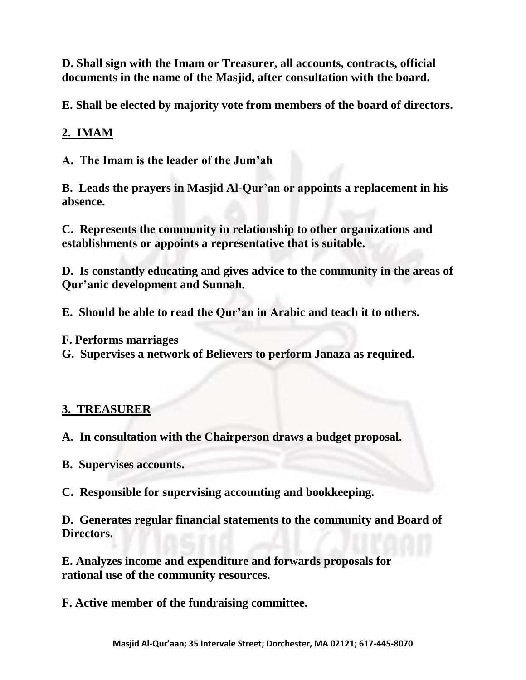**D. Shall sign with the Imam or Treasurer, all accounts, contracts, official documents in the name of the Masjid, after consultation with the board.**

**E. Shall be elected by majority vote from members of the board of directors.**

## **2. IMAM**

**A. The Imam is the leader of the Jum'ah**

**B. Leads the prayers in Masjid Al-Qur'an or appoints a replacement in his absence.**

**C. Represents the community in relationship to other organizations and establishments or appoints a representative that is suitable.**

**D. Is constantly educating and gives advice to the community in the areas of Qur'anic development and Sunnah.**

**E. Should be able to read the Qur'an in Arabic and teach it to others.**

**F. Performs marriages**

**G. Supervises a network of Believers to perform Janaza as required.**

## **3. TREASURER**

**A. In consultation with the Chairperson draws a budget proposal.**

**B. Supervises accounts.**

**C. Responsible for supervising accounting and bookkeeping.**

**D. Generates regular financial statements to the community and Board of Directors.**

**E. Analyzes income and expenditure and forwards proposals for rational use of the community resources.**

**F. Active member of the fundraising committee.**